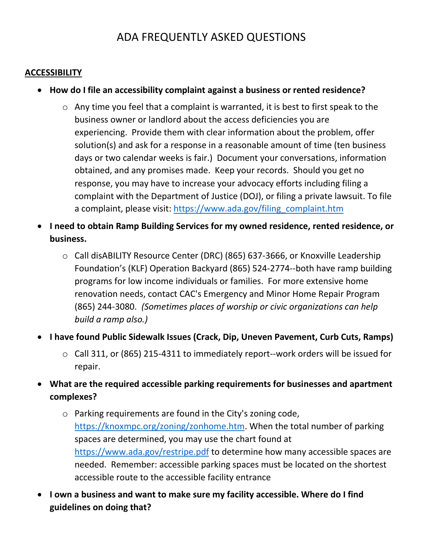# ADA FREQUENTLY ASKED QUESTIONS

#### **ACCESSIBILITY**

- **How do I file an accessibility complaint against a business or rented residence?**
	- $\circ$  Any time you feel that a complaint is warranted, it is best to first speak to the business owner or landlord about the access deficiencies you are experiencing. Provide them with clear information about the problem, offer solution(s) and ask for a response in a reasonable amount of time (ten business days or two calendar weeks is fair.) Document your conversations, information obtained, and any promises made. Keep your records. Should you get no response, you may have to increase your advocacy efforts including filing a complaint with the Department of Justice (DOJ), or filing a private lawsuit. To file a complaint, please visit: [https://www.ada.gov/filing\\_complaint.htm](https://www.ada.gov/filing_complaint.htm)
- **I need to obtain Ramp Building Services for my owned residence, rented residence, or business.**
	- o Call disABILITY Resource Center (DRC) (865) 637-3666, or Knoxville Leadership Foundation's (KLF) Operation Backyard (865) 524-2774--both have ramp building programs for low income individuals or families. For more extensive home renovation needs, contact CAC's Emergency and Minor Home Repair Program (865) 244-3080. *(Sometimes places of worship or civic organizations can help build a ramp also.)*
- **I have found Public Sidewalk Issues (Crack, Dip, Uneven Pavement, Curb Cuts, Ramps)**
	- o Call 311, or (865) 215-4311 to immediately report--work orders will be issued for repair.
- **What are the required accessible parking requirements for businesses and apartment complexes?**
	- o Parking requirements are found in the City's zoning code, [https://knoxmpc.org/zoning/zonhome.htm.](https://knoxmpc.org/zoning/zonhome.htm) When the total number of parking spaces are determined, you may use the chart found at <https://www.ada.gov/restripe.pdf> to determine how many accessible spaces are needed. Remember: accessible parking spaces must be located on the shortest accessible route to the accessible facility entrance
- **I own a business and want to make sure my facility accessible. Where do I find guidelines on doing that?**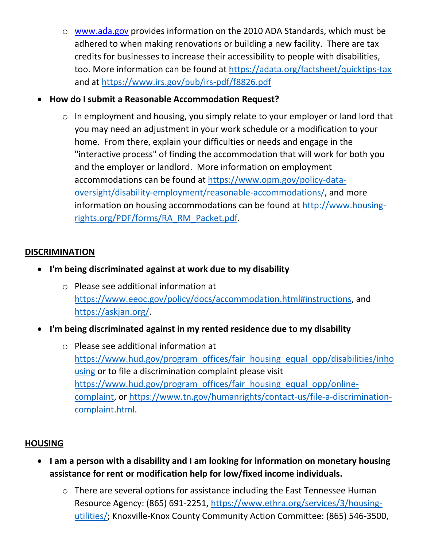- o [www.ada.gov](http://www.ada.gov/) provides information on the 2010 ADA Standards, which must be adhered to when making renovations or building a new facility. There are tax credits for businesses to increase their accessibility to people with disabilities, too. More information can be found at<https://adata.org/factsheet/quicktips-tax> and at<https://www.irs.gov/pub/irs-pdf/f8826.pdf>
- **How do I submit a Reasonable Accommodation Request?**
	- o In employment and housing, you simply relate to your employer or land lord that you may need an adjustment in your work schedule or a modification to your home. From there, explain your difficulties or needs and engage in the "interactive process" of finding the accommodation that will work for both you and the employer or landlord. More information on employment accommodations can be found at [https://www.opm.gov/policy-data](https://www.opm.gov/policy-data-oversight/disability-employment/reasonable-accommodations/)[oversight/disability-employment/reasonable-accommodations/,](https://www.opm.gov/policy-data-oversight/disability-employment/reasonable-accommodations/) and more information on housing accommodations can be found at [http://www.housing](http://www.housing-rights.org/PDF/forms/RA_RM_Packet.pdf)[rights.org/PDF/forms/RA\\_RM\\_Packet.pdf.](http://www.housing-rights.org/PDF/forms/RA_RM_Packet.pdf)

### **DISCRIMINATION**

- **I'm being discriminated against at work due to my disability**
	- o Please see additional information at [https://www.eeoc.gov/policy/docs/accommodation.html#instructions,](https://www.eeoc.gov/policy/docs/accommodation.html#instructions) and [https://askjan.org/.](https://askjan.org/)
- **I'm being discriminated against in my rented residence due to my disability**
	- o Please see additional information at [https://www.hud.gov/program\\_offices/fair\\_housing\\_equal\\_opp/disabilities/inho](https://www.hud.gov/program_offices/fair_housing_equal_opp/disabilities/inhousing) [using](https://www.hud.gov/program_offices/fair_housing_equal_opp/disabilities/inhousing) or to file a discrimination complaint please visit [https://www.hud.gov/program\\_offices/fair\\_housing\\_equal\\_opp/online](https://www.hud.gov/program_offices/fair_housing_equal_opp/online-complaint)[complaint,](https://www.hud.gov/program_offices/fair_housing_equal_opp/online-complaint) or [https://www.tn.gov/humanrights/contact-us/file-a-discrimination](https://www.tn.gov/humanrights/contact-us/file-a-discrimination-complaint.html)[complaint.html.](https://www.tn.gov/humanrights/contact-us/file-a-discrimination-complaint.html)

## **HOUSING**

- **I am a person with a disability and I am looking for information on monetary housing assistance for rent or modification help for low/fixed income individuals.**
	- o There are several options for assistance including the East Tennessee Human Resource Agency: (865) 691-2251, [https://www.ethra.org/services/3/housing](https://www.ethra.org/services/3/housing-utilities/)[utilities/;](https://www.ethra.org/services/3/housing-utilities/) Knoxville-Knox County Community Action Committee: (865) 546-3500,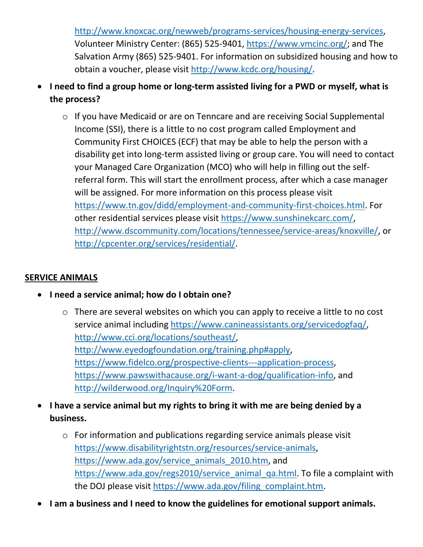[http://www.knoxcac.org/newweb/programs-services/housing-energy-services,](http://www.knoxcac.org/newweb/programs-services/housing-energy-services) Volunteer Ministry Center: (865) 525-9401, [https://www.vmcinc.org/;](https://www.vmcinc.org/) and The Salvation Army (865) 525-9401. For information on subsidized housing and how to obtain a voucher, please visit [http://www.kcdc.org/housing/.](http://www.kcdc.org/housing/)

- **I need to find a group home or long-term assisted living for a PWD or myself, what is the process?**
	- o If you have Medicaid or are on Tenncare and are receiving Social Supplemental Income (SSI), there is a little to no cost program called Employment and Community First CHOICES (ECF) that may be able to help the person with a disability get into long-term assisted living or group care. You will need to contact your Managed Care Organization (MCO) who will help in filling out the selfreferral form. This will start the enrollment process, after which a case manager will be assigned. For more information on this process please visit [https://www.tn.gov/didd/employment-and-community-first-choices.html.](https://www.tn.gov/didd/employment-and-community-first-choices.html) For other residential services please visit [https://www.sunshinekcarc.com/,](https://www.sunshinekcarc.com/) [http://www.dscommunity.com/locations/tennessee/service-areas/knoxville/,](http://www.dscommunity.com/locations/tennessee/service-areas/knoxville/) or [http://cpcenter.org/services/residential/.](http://cpcenter.org/services/residential/)

## **SERVICE ANIMALS**

- **I need a service animal; how do I obtain one?**
	- o There are several websites on which you can apply to receive a little to no cost service animal including [https://www.canineassistants.org/servicedogfaq/,](https://www.canineassistants.org/servicedogfaq/) [http://www.cci.org/locations/southeast/,](http://www.cci.org/locations/southeast/) [http://www.eyedogfoundation.org/training.php#apply,](http://www.eyedogfoundation.org/training.php#apply) [https://www.fidelco.org/prospective-clients---application-process,](https://www.fidelco.org/prospective-clients---application-process) [https://www.pawswithacause.org/i-want-a-dog/qualification-info,](https://www.pawswithacause.org/i-want-a-dog/qualification-info) and [http://wilderwood.org/Inquiry%20Form.](http://wilderwood.org/Inquiry%20Form)
- **I have a service animal but my rights to bring it with me are being denied by a business.**
	- o For information and publications regarding service animals please visit [https://www.disabilityrightstn.org/resources/service-animals,](https://www.disabilityrightstn.org/resources/service-animals) [https://www.ada.gov/service\\_animals\\_2010.htm,](https://www.ada.gov/service_animals_2010.htm) and [https://www.ada.gov/regs2010/service\\_animal\\_qa.html.](https://www.ada.gov/regs2010/service_animal_qa.html) To file a complaint with the DOJ please visit [https://www.ada.gov/filing\\_complaint.htm.](https://www.ada.gov/filing_complaint.htm)
- **I am a business and I need to know the guidelines for emotional support animals.**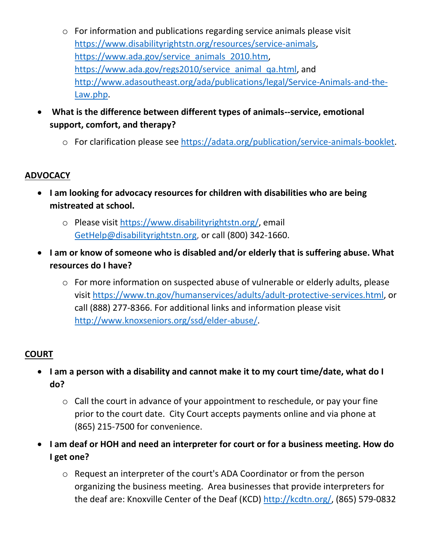- o For information and publications regarding service animals please visit [https://www.disabilityrightstn.org/resources/service-animals,](https://www.disabilityrightstn.org/resources/service-animals) [https://www.ada.gov/service\\_animals\\_2010.htm,](https://www.ada.gov/service_animals_2010.htm) [https://www.ada.gov/regs2010/service\\_animal\\_qa.html,](https://www.ada.gov/regs2010/service_animal_qa.html) and [http://www.adasoutheast.org/ada/publications/legal/Service-Animals-and-the-](http://www.adasoutheast.org/ada/publications/legal/Service-Animals-and-the-Law.php)[Law.php.](http://www.adasoutheast.org/ada/publications/legal/Service-Animals-and-the-Law.php)
- **What is the difference between different types of animals--service, emotional support, comfort, and therapy?**
	- o For clarification please see [https://adata.org/publication/service-animals-booklet.](https://adata.org/publication/service-animals-booklet)

## **ADVOCACY**

- **I am looking for advocacy resources for children with disabilities who are being mistreated at school.**
	- o Please visit [https://www.disabilityrightstn.org/,](https://www.disabilityrightstn.org/) email [GetHelp@disabilityrightstn.org,](mailto:gethelp@disabilityrightstn.org) or call (800) 342-1660.
- **I am or know of someone who is disabled and/or elderly that is suffering abuse. What resources do I have?**
	- o For more information on suspected abuse of vulnerable or elderly adults, please visit [https://www.tn.gov/humanservices/adults/adult-protective-services.html,](https://www.tn.gov/humanservices/adults/adult-protective-services.html) or call (888) 277-8366. For additional links and information please visit [http://www.knoxseniors.org/ssd/elder-abuse/.](http://www.knoxseniors.org/ssd/elder-abuse/)

## **COURT**

- **I am a person with a disability and cannot make it to my court time/date, what do I do?**
	- o Call the court in advance of your appointment to reschedule, or pay your fine prior to the court date. City Court accepts payments online and via phone at (865) 215-7500 for convenience.
- **I am deaf or HOH and need an interpreter for court or for a business meeting. How do I get one?**
	- o Request an interpreter of the court's ADA Coordinator or from the person organizing the business meeting. Area businesses that provide interpreters for the deaf are: Knoxville Center of the Deaf (KCD) [http://kcdtn.org/,](http://kcdtn.org/) (865) 579-0832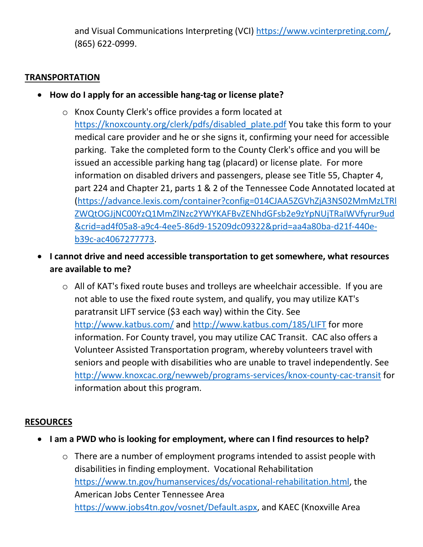and Visual Communications Interpreting (VCI) [https://www.vcinterpreting.com/,](https://www.vcinterpreting.com/) (865) 622-0999.

#### **TRANSPORTATION**

- **How do I apply for an accessible hang-tag or license plate?**
	- o Knox County Clerk's office provides a form located at [https://knoxcounty.org/clerk/pdfs/disabled\\_plate.pdf](https://knoxcounty.org/clerk/pdfs/disabled_plate.pdf) You take this form to your medical care provider and he or she signs it, confirming your need for accessible parking. Take the completed form to the County Clerk's office and you will be issued an accessible parking hang tag (placard) or license plate. For more information on disabled drivers and passengers, please see Title 55, Chapter 4, part 224 and Chapter 21, parts 1 & 2 of the Tennessee Code Annotated located at [\(https://advance.lexis.com/container?config=014CJAA5ZGVhZjA3NS02MmMzLTRl](https://advance.lexis.com/container?config=014CJAA5ZGVhZjA3NS02MmMzLTRlZWQtOGJjNC00YzQ1MmZlNzc2YWYKAFBvZENhdGFsb2e9zYpNUjTRaIWVfyrur9ud&crid=ad4f05a8-a9c4-4ee5-86d9-15209dc09322&prid=aa4a80ba-d21f-440e-b39c-ac4067277773) [ZWQtOGJjNC00YzQ1MmZlNzc2YWYKAFBvZENhdGFsb2e9zYpNUjTRaIWVfyrur9ud](https://advance.lexis.com/container?config=014CJAA5ZGVhZjA3NS02MmMzLTRlZWQtOGJjNC00YzQ1MmZlNzc2YWYKAFBvZENhdGFsb2e9zYpNUjTRaIWVfyrur9ud&crid=ad4f05a8-a9c4-4ee5-86d9-15209dc09322&prid=aa4a80ba-d21f-440e-b39c-ac4067277773) [&crid=ad4f05a8-a9c4-4ee5-86d9-15209dc09322&prid=aa4a80ba-d21f-440e](https://advance.lexis.com/container?config=014CJAA5ZGVhZjA3NS02MmMzLTRlZWQtOGJjNC00YzQ1MmZlNzc2YWYKAFBvZENhdGFsb2e9zYpNUjTRaIWVfyrur9ud&crid=ad4f05a8-a9c4-4ee5-86d9-15209dc09322&prid=aa4a80ba-d21f-440e-b39c-ac4067277773)[b39c-ac4067277773.](https://advance.lexis.com/container?config=014CJAA5ZGVhZjA3NS02MmMzLTRlZWQtOGJjNC00YzQ1MmZlNzc2YWYKAFBvZENhdGFsb2e9zYpNUjTRaIWVfyrur9ud&crid=ad4f05a8-a9c4-4ee5-86d9-15209dc09322&prid=aa4a80ba-d21f-440e-b39c-ac4067277773)
- **I cannot drive and need accessible transportation to get somewhere, what resources are available to me?**
	- o All of KAT's fixed route buses and trolleys are wheelchair accessible. If you are not able to use the fixed route system, and qualify, you may utilize KAT's paratransit LIFT service (\$3 each way) within the City. See <http://www.katbus.com/> and<http://www.katbus.com/185/LIFT> for more information. For County travel, you may utilize CAC Transit. CAC also offers a Volunteer Assisted Transportation program, whereby volunteers travel with seniors and people with disabilities who are unable to travel independently. See <http://www.knoxcac.org/newweb/programs-services/knox-county-cac-transit> for information about this program.

#### **RESOURCES**

- **I am a PWD who is looking for employment, where can I find resources to help?**
	- o There are a number of employment programs intended to assist people with disabilities in finding employment. Vocational Rehabilitation [https://www.tn.gov/humanservices/ds/vocational-rehabilitation.html,](https://www.tn.gov/humanservices/ds/vocational-rehabilitation.html) the American Jobs Center Tennessee Area [https://www.jobs4tn.gov/vosnet/Default.aspx,](https://www.jobs4tn.gov/vosnet/Default.aspx) and KAEC (Knoxville Area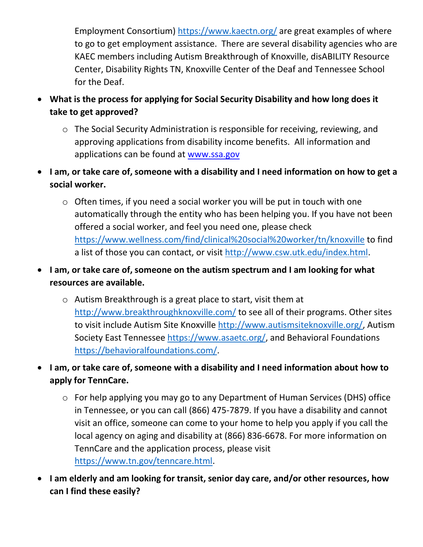Employment Consortium)<https://www.kaectn.org/> are great examples of where to go to get employment assistance. There are several disability agencies who are KAEC members including Autism Breakthrough of Knoxville, disABILITY Resource Center, Disability Rights TN, Knoxville Center of the Deaf and Tennessee School for the Deaf.

- **What is the process for applying for Social Security Disability and how long does it take to get approved?**
	- o The Social Security Administration is responsible for receiving, reviewing, and approving applications from disability income benefits. All information and applications can be found at [www.ssa.gov](http://www.ssa.gov/)
- **I am, or take care of, someone with a disability and I need information on how to get a social worker.**
	- o Often times, if you need a social worker you will be put in touch with one automatically through the entity who has been helping you. If you have not been offered a social worker, and feel you need one, please check <https://www.wellness.com/find/clinical%20social%20worker/tn/knoxville> to find a list of those you can contact, or visit [http://www.csw.utk.edu/index.html.](http://www.csw.utk.edu/index.html)
- **I am, or take care of, someone on the autism spectrum and I am looking for what resources are available.**
	- o Autism Breakthrough is a great place to start, visit them at <http://www.breakthroughknoxville.com/> to see all of their programs. Other sites to visit include Autism Site Knoxville [http://www.autismsiteknoxville.org/,](http://www.autismsiteknoxville.org/) Autism Society East Tennessee [https://www.asaetc.org/,](https://www.asaetc.org/) and Behavioral Foundations [https://behavioralfoundations.com/.](https://behavioralfoundations.com/)
- **I am, or take care of, someone with a disability and I need information about how to apply for TennCare.**
	- o For help applying you may go to any Department of Human Services (DHS) office in Tennessee, or you can call (866) 475-7879. If you have a disability and cannot visit an office, someone can come to your home to help you apply if you call the local agency on aging and disability at (866) 836-6678. For more information on TennCare and the application process, please visit [https://www.tn.gov/tenncare.html.](https://www.tn.gov/tenncare.html)
- **I am elderly and am looking for transit, senior day care, and/or other resources, how can I find these easily?**